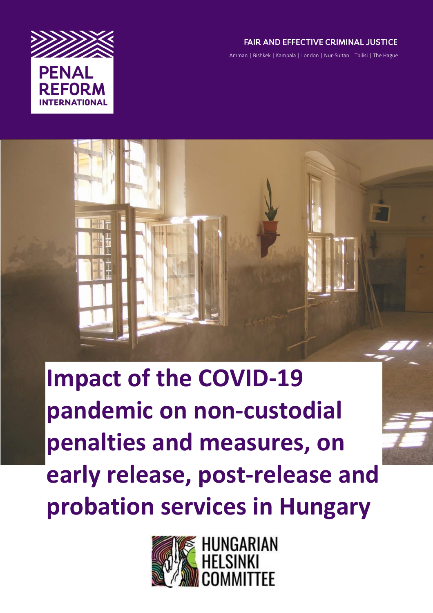

# **FAIR AND EFFECTIVE CRIMINAL JUSTICE**

Amman | Bishkek | Kampala | London | Nur-Sultan | Tbilisi | The Hague

# **Impact of the COVID-19 pandemic on non-custodial penalties and measures, on early release, post-release and probation services in Hungary**

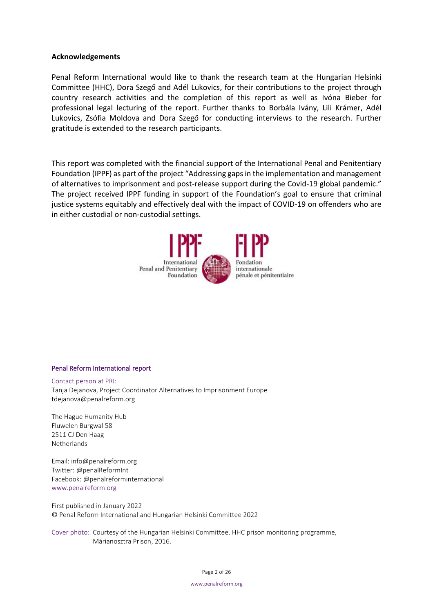#### **Acknowledgements**

Penal Reform International would like to thank the research team at the Hungarian Helsinki Committee (HHC), Dora Szegő and Adél Lukovics, for their contributions to the project through country research activities and the completion of this report as well as Ivóna Bieber for professional legal lecturing of the report. Further thanks to Borbála Ivány, Lili Krámer, Adél Lukovics, Zsófia Moldova and Dora Szegő for conducting interviews to the research. Further gratitude is extended to the research participants.

This report was completed with the financial support of the International Penal and Penitentiary Foundation (IPPF) as part of the project "Addressing gaps in the implementation and management of alternatives to imprisonment and post-release support during the Covid-19 global pandemic." The project received IPPF funding in support of the Foundation's goal to ensure that criminal justice systems equitably and effectively deal with the impact of COVID-19 on offenders who are in either custodial or non-custodial settings.



#### Penal Reform International report

Contact person at PRI: Tanja Dejanova, Project Coordinator Alternatives to Imprisonment Europe tdejanova@penalreform.org

The Hague Humanity Hub Fluwelen Burgwal 58 2511 CJ Den Haag Netherlands

Email: info@penalreform.org Twitter: @penalReformInt Facebook: @penalreforminternational www.penalreform.org

First published in January 2022 © Penal Reform International and Hungarian Helsinki Committee 2022

Cover photo: Courtesy of the Hungarian Helsinki Committee. HHC prison monitoring programme, Márianosztra Prison, 2016.

Page 2 of 26

www.penalreform.org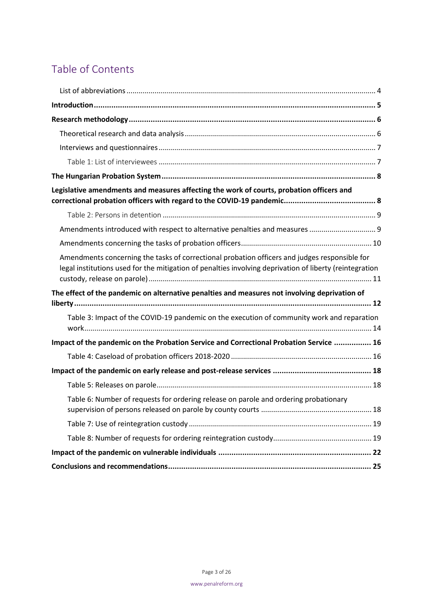# Table of Contents

| Legislative amendments and measures affecting the work of courts, probation officers and                                                                                                                 |
|----------------------------------------------------------------------------------------------------------------------------------------------------------------------------------------------------------|
|                                                                                                                                                                                                          |
| Amendments introduced with respect to alternative penalties and measures  9                                                                                                                              |
|                                                                                                                                                                                                          |
| Amendments concerning the tasks of correctional probation officers and judges responsible for<br>legal institutions used for the mitigation of penalties involving deprivation of liberty (reintegration |
| The effect of the pandemic on alternative penalties and measures not involving deprivation of                                                                                                            |
| Table 3: Impact of the COVID-19 pandemic on the execution of community work and reparation                                                                                                               |
| Impact of the pandemic on the Probation Service and Correctional Probation Service  16                                                                                                                   |
|                                                                                                                                                                                                          |
|                                                                                                                                                                                                          |
|                                                                                                                                                                                                          |
| Table 6: Number of requests for ordering release on parole and ordering probationary                                                                                                                     |
|                                                                                                                                                                                                          |
|                                                                                                                                                                                                          |
|                                                                                                                                                                                                          |
|                                                                                                                                                                                                          |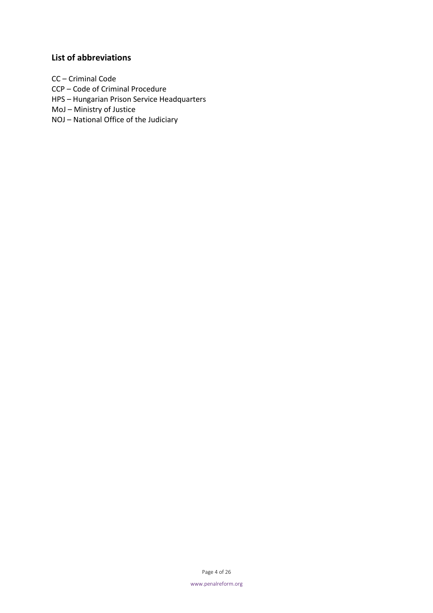## <span id="page-3-0"></span>**List of abbreviations**

CC – Criminal Code

- CCP Code of Criminal Procedure
- HPS Hungarian Prison Service Headquarters

MoJ – Ministry of Justice

NOJ – National Office of the Judiciary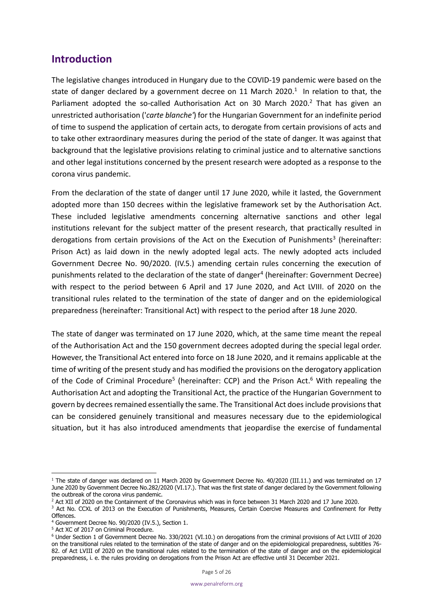# <span id="page-4-0"></span>**Introduction**

The legislative changes introduced in Hungary due to the COVID-19 pandemic were based on the state of danger declared by a government decree on 11 March 2020.<sup>1</sup> In relation to that, the Parliament adopted the so-called Authorisation Act on 30 March 2020.<sup>2</sup> That has given an unrestricted authorisation ('*carte blanche'*) for the Hungarian Government for an indefinite period of time to suspend the application of certain acts, to derogate from certain provisions of acts and to take other extraordinary measures during the period of the state of danger. It was against that background that the legislative provisions relating to criminal justice and to alternative sanctions and other legal institutions concerned by the present research were adopted as a response to the corona virus pandemic.

From the declaration of the state of danger until 17 June 2020, while it lasted, the Government adopted more than 150 decrees within the legislative framework set by the Authorisation Act. These included legislative amendments concerning alternative sanctions and other legal institutions relevant for the subject matter of the present research, that practically resulted in derogations from certain provisions of the Act on the Execution of Punishments<sup>3</sup> (hereinafter: Prison Act) as laid down in the newly adopted legal acts. The newly adopted acts included Government Decree No. 90/2020. (IV.5.) amending certain rules concerning the execution of punishments related to the declaration of the state of danger<sup>4</sup> (hereinafter: Government Decree) with respect to the period between 6 April and 17 June 2020, and Act LVIII. of 2020 on the transitional rules related to the termination of the state of danger and on the epidemiological preparedness (hereinafter: Transitional Act) with respect to the period after 18 June 2020.

The state of danger was terminated on 17 June 2020, which, at the same time meant the repeal of the Authorisation Act and the 150 government decrees adopted during the special legal order. However, the Transitional Act entered into force on 18 June 2020, and it remains applicable at the time of writing of the present study and has modified the provisions on the derogatory application of the Code of Criminal Procedure<sup>5</sup> (hereinafter: CCP) and the Prison Act.<sup>6</sup> With repealing the Authorisation Act and adopting the Transitional Act, the practice of the Hungarian Government to govern by decrees remained essentially the same. The Transitional Act does include provisions that can be considered genuinely transitional and measures necessary due to the epidemiological situation, but it has also introduced amendments that jeopardise the exercise of fundamental

<sup>5</sup> Act XC of 2017 on Criminal Procedure.

<sup>&</sup>lt;sup>1</sup> The state of danger was declared on 11 March 2020 by Government Decree No. 40/2020 (III.11.) and was terminated on 17 June 2020 by Government Decree No.282/2020 (VI.17.). That was the first state of danger declared by the Government following the outbreak of the corona virus pandemic.

<sup>&</sup>lt;sup>2</sup> Act XII of 2020 on the Containment of the Coronavirus which was in force between 31 March 2020 and 17 June 2020.

<sup>&</sup>lt;sup>3</sup> Act No. CCXL of 2013 on the Execution of Punishments, Measures, Certain Coercive Measures and Confinement for Petty Offences.

<sup>&</sup>lt;sup>4</sup> Government Decree No. 90/2020 (IV.5.), Section 1.

<sup>6</sup> Under Section 1 of Government Decree No. 330/2021 (VI.10.) on derogations from the criminal provisions of Act LVIII of 2020 on the transitional rules related to the termination of the state of danger and on the epidemiological preparedness, subtitles 76- 82. of Act LVIII of 2020 on the transitional rules related to the termination of the state of danger and on the epidemiological preparedness, i. e. the rules providing on derogations from the Prison Act are effective until 31 December 2021.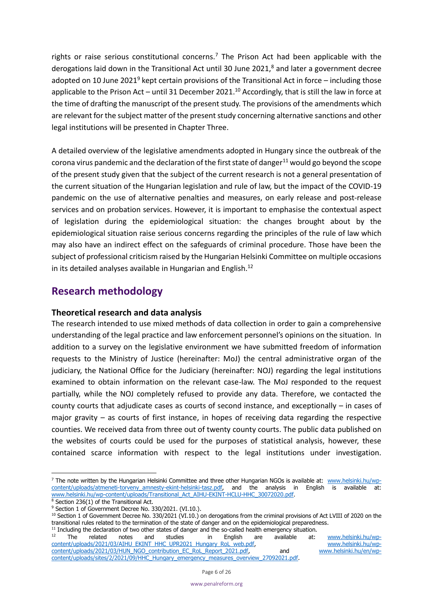rights or raise serious constitutional concerns.<sup>7</sup> The Prison Act had been applicable with the derogations laid down in the Transitional Act until 30 June 2021,<sup>8</sup> and later a government decree adopted on 10 June 2021<sup>9</sup> kept certain provisions of the Transitional Act in force – including those applicable to the Prison Act – until 31 December 2021.<sup>10</sup> Accordingly, that is still the law in force at the time of drafting the manuscript of the present study. The provisions of the amendments which are relevant for the subject matter of the present study concerning alternative sanctions and other legal institutions will be presented in Chapter Three.

A detailed overview of the legislative amendments adopted in Hungary since the outbreak of the corona virus pandemic and the declaration of the first state of danger<sup>11</sup> would go beyond the scope of the present study given that the subject of the current research is not a general presentation of the current situation of the Hungarian legislation and rule of law, but the impact of the COVID-19 pandemic on the use of alternative penalties and measures, on early release and post-release services and on probation services. However, it is important to emphasise the contextual aspect of legislation during the epidemiological situation: the changes brought about by the epidemiological situation raise serious concerns regarding the principles of the rule of law which may also have an indirect effect on the safeguards of criminal procedure. Those have been the subject of professional criticism raised by the Hungarian Helsinki Committee on multiple occasions in its detailed analyses available in Hungarian and English.<sup>12</sup>

# <span id="page-5-0"></span>**Research methodology**

## <span id="page-5-1"></span>**Theoretical research and data analysis**

The research intended to use mixed methods of data collection in order to gain a comprehensive understanding of the legal practice and law enforcement personnel's opinions on the situation. In addition to a survey on the legislative environment we have submitted freedom of information requests to the Ministry of Justice (hereinafter: MoJ) the central administrative organ of the judiciary, the National Office for the Judiciary (hereinafter: NOJ) regarding the legal institutions examined to obtain information on the relevant case-law. The MoJ responded to the request partially, while the NOJ completely refused to provide any data. Therefore, we contacted the county courts that adjudicate cases as courts of second instance, and exceptionally – in cases of major gravity – as courts of first instance, in hopes of receiving data regarding the respective counties. We received data from three out of twenty county courts. The public data published on the websites of courts could be used for the purposes of statistical analysis, however, these contained scarce information with respect to the legal institutions under investigation.

<sup>&</sup>lt;sup>7</sup> The note written by the Hungarian Helsinki Committee and three other Hungarian NGOs is available at: [www.helsinki.hu/wp](http://www.helsinki.hu/wp-content/uploads/atmeneti-torveny_amnesty-ekint-helsinki-tasz.pdf)[content/uploads/atmeneti-torveny\\_amnesty-ekint-helsinki-tasz.pdf,](http://www.helsinki.hu/wp-content/uploads/atmeneti-torveny_amnesty-ekint-helsinki-tasz.pdf) and the analysis in English is available at: [www.helsinki.hu/wp-content/uploads/Transitional\\_Act\\_AIHU-EKINT-HCLU-HHC\\_30072020.pdf.](http://www.helsinki.hu/wp-content/uploads/Transitional_Act_AIHU-EKINT-HCLU-HHC_30072020.pdf)

 $8$  Section 236(1) of the Transitional Act.

<sup>&</sup>lt;sup>9</sup> Section 1 of Government Decree No. 330/2021. (VI.10.).

<sup>&</sup>lt;sup>10</sup> Section 1 of Government Decree No. 330/2021 (VI.10.) on derogations from the criminal provisions of Act LVIII of 2020 on the transitional rules related to the termination of the state of danger and on the epidemiological preparedness.

<sup>&</sup>lt;sup>11</sup> Including the declaration of two other states of danger and the so-called health emergency situation.<br><sup>12</sup> The related notes and studies in Fealish are available at:

<sup>12</sup> The related notes and studies in English are available at: www.helsinki.hu/wp-<br>ht/uploads/2021/03/AIHU\_EKINT\_HHC\_UPR2021\_Hungary\_RoL\_web.pdf, [www.helsinki.hu/wp](http://www.helsinki.hu/wp-content/uploads/2021/03/AIHU_EKINT_HHC_UPR2021_Hungary_RoL_web.pdf)[content/uploads/2021/03/AIHU\\_EKINT\\_HHC\\_UPR2021\\_Hungary\\_RoL\\_web.pdf,](http://www.helsinki.hu/wp-content/uploads/2021/03/AIHU_EKINT_HHC_UPR2021_Hungary_RoL_web.pdf) [content/uploads/2021/03/HUN\\_NGO\\_contribution\\_EC\\_RoL\\_Report\\_2021.pdf,](http://www.helsinki.hu/wp-content/uploads/2021/03/HUN_NGO_contribution_EC_RoL_Report_2021.pdf) and [www.helsinki.hu/en/wp](http://www.helsinki.hu/en/wp-content/uploads/sites/2/2021/09/HHC_Hungary_emergency_measures_overview_27092021.pdf)[content/uploads/sites/2/2021/09/HHC\\_Hungary\\_emergency\\_measures\\_overview\\_27092021.pdf.](http://www.helsinki.hu/en/wp-content/uploads/sites/2/2021/09/HHC_Hungary_emergency_measures_overview_27092021.pdf)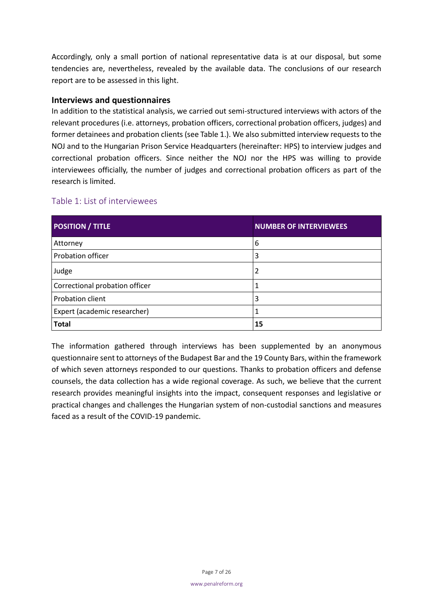Accordingly, only a small portion of national representative data is at our disposal, but some tendencies are, nevertheless, revealed by the available data. The conclusions of our research report are to be assessed in this light.

## <span id="page-6-0"></span>**Interviews and questionnaires**

In addition to the statistical analysis, we carried out semi-structured interviews with actors of the relevant procedures (i.e. attorneys, probation officers, correctional probation officers, judges) and former detainees and probation clients (see Table 1.). We also submitted interview requests to the NOJ and to the Hungarian Prison Service Headquarters (hereinafter: HPS) to interview judges and correctional probation officers. Since neither the NOJ nor the HPS was willing to provide interviewees officially, the number of judges and correctional probation officers as part of the research is limited.

## <span id="page-6-1"></span>Table 1: List of interviewees

| <b>POSITION / TITLE</b>        | <b>NUMBER OF INTERVIEWEES</b> |
|--------------------------------|-------------------------------|
| Attorney                       | 6                             |
| Probation officer              | 3                             |
| Judge                          | 2                             |
| Correctional probation officer |                               |
| Probation client               | 3                             |
| Expert (academic researcher)   |                               |
| <b>Total</b>                   | 15                            |

The information gathered through interviews has been supplemented by an anonymous questionnaire sent to attorneys of the Budapest Bar and the 19 County Bars, within the framework of which seven attorneys responded to our questions. Thanks to probation officers and defense counsels, the data collection has a wide regional coverage. As such, we believe that the current research provides meaningful insights into the impact, consequent responses and legislative or practical changes and challenges the Hungarian system of non-custodial sanctions and measures faced as a result of the COVID-19 pandemic.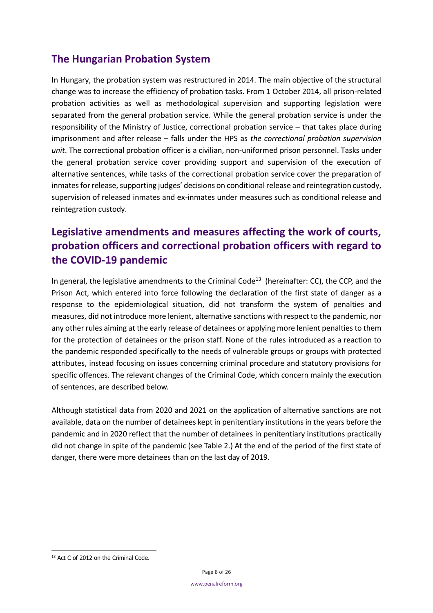# <span id="page-7-0"></span>**The Hungarian Probation System**

In Hungary, the probation system was restructured in 2014. The main objective of the structural change was to increase the efficiency of probation tasks. From 1 October 2014, all prison-related probation activities as well as methodological supervision and supporting legislation were separated from the general probation service. While the general probation service is under the responsibility of the Ministry of Justice, correctional probation service – that takes place during imprisonment and after release – falls under the HPS as *the correctional probation supervision unit*. The correctional probation officer is a civilian, non-uniformed prison personnel. Tasks under the general probation service cover providing support and supervision of the execution of alternative sentences, while tasks of the correctional probation service cover the preparation of inmates for release, supporting judges' decisions on conditional release and reintegration custody, supervision of released inmates and ex-inmates under measures such as conditional release and reintegration custody.

# <span id="page-7-1"></span>**Legislative amendments and measures affecting the work of courts, probation officers and correctional probation officers with regard to the COVID-19 pandemic**

In general, the legislative amendments to the Criminal Code<sup>13</sup> (hereinafter: CC), the CCP, and the Prison Act, which entered into force following the declaration of the first state of danger as a response to the epidemiological situation, did not transform the system of penalties and measures, did not introduce more lenient, alternative sanctions with respect to the pandemic, nor any other rules aiming at the early release of detainees or applying more lenient penalties to them for the protection of detainees or the prison staff. None of the rules introduced as a reaction to the pandemic responded specifically to the needs of vulnerable groups or groups with protected attributes, instead focusing on issues concerning criminal procedure and statutory provisions for specific offences. The relevant changes of the Criminal Code, which concern mainly the execution of sentences, are described below.

Although statistical data from 2020 and 2021 on the application of alternative sanctions are not available, data on the number of detainees kept in penitentiary institutions in the years before the pandemic and in 2020 reflect that the number of detainees in penitentiary institutions practically did not change in spite of the pandemic (see Table 2.) At the end of the period of the first state of danger, there were more detainees than on the last day of 2019.

<sup>&</sup>lt;sup>13</sup> Act C of 2012 on the Criminal Code.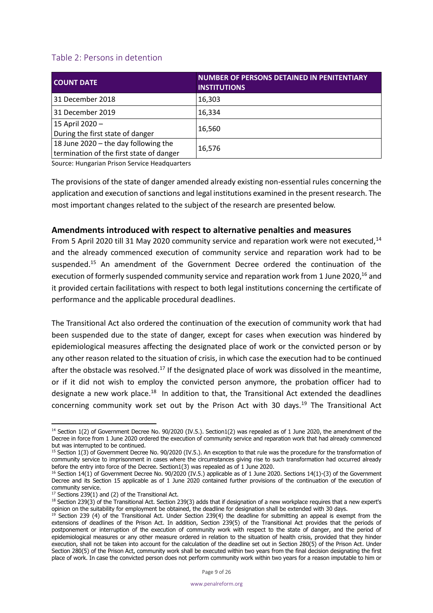## <span id="page-8-0"></span>Table 2: Persons in detention

| <b>COUNT DATE</b>                        | <b>NUMBER OF PERSONS DETAINED IN PENITENTIARY</b><br><b>INSTITUTIONS</b> |
|------------------------------------------|--------------------------------------------------------------------------|
| 31 December 2018                         | 16,303                                                                   |
| 31 December 2019                         | 16,334                                                                   |
| 15 April 2020 -                          | 16,560                                                                   |
| During the first state of danger         |                                                                          |
| 18 June 2020 - the day following the     | 16,576                                                                   |
| termination of the first state of danger |                                                                          |

Source: Hungarian Prison Service Headquarters

The provisions of the state of danger amended already existing non-essential rules concerning the application and execution of sanctions and legal institutions examined in the present research. The most important changes related to the subject of the research are presented below.

#### <span id="page-8-1"></span>**Amendments introduced with respect to alternative penalties and measures**

From 5 April 2020 till 31 May 2020 community service and reparation work were not executed,  $14$ and the already commenced execution of community service and reparation work had to be suspended.<sup>15</sup> An amendment of the Government Decree ordered the continuation of the execution of formerly suspended community service and reparation work from 1 June 2020,<sup>16</sup> and it provided certain facilitations with respect to both legal institutions concerning the certificate of performance and the applicable procedural deadlines.

The Transitional Act also ordered the continuation of the execution of community work that had been suspended due to the state of danger, except for cases when execution was hindered by epidemiological measures affecting the designated place of work or the convicted person or by any other reason related to the situation of crisis, in which case the execution had to be continued after the obstacle was resolved.<sup>17</sup> If the designated place of work was dissolved in the meantime, or if it did not wish to employ the convicted person anymore, the probation officer had to designate a new work place.<sup>18</sup> In addition to that, the Transitional Act extended the deadlines concerning community work set out by the Prison Act with 30 days.<sup>19</sup> The Transitional Act

<sup>&</sup>lt;sup>14</sup> Section 1(2) of Government Decree No. 90/2020 (IV.5.). Section1(2) was repealed as of 1 June 2020, the amendment of the Decree in force from 1 June 2020 ordered the execution of community service and reparation work that had already commenced but was interrupted to be continued.

<sup>&</sup>lt;sup>15</sup> Section 1(3) of Government Decree No. 90/2020 (IV.5.). An exception to that rule was the procedure for the transformation of community service to imprisonment in cases where the circumstances giving rise to such transformation had occurred already before the entry into force of the Decree. Section1(3) was repealed as of 1 June 2020.

 $16$  Section 14(1) of Government Decree No. 90/2020 (IV.5.) applicable as of 1 June 2020. Sections 14(1)-(3) of the Government Decree and its Section 15 applicable as of 1 June 2020 contained further provisions of the continuation of the execution of community service.

 $17$  Sections 239(1) and (2) of the Transitional Act.

 $18$  Section 239(3) of the Transitional Act. Section 239(3) adds that if designation of a new workplace requires that a new expert's opinion on the suitability for employment be obtained, the deadline for designation shall be extended with 30 days.

<sup>&</sup>lt;sup>19</sup> Section 239 (4) of the Transitional Act. Under Section 239(4) the deadline for submitting an appeal is exempt from the extensions of deadlines of the Prison Act. In addition, Section 239(5) of the Transitional Act provides that the periods of postponement or interruption of the execution of community work with respect to the state of danger, and the period of epidemiological measures or any other measure ordered in relation to the situation of health crisis, provided that they hinder execution, shall not be taken into account for the calculation of the deadline set out in Section 280(5) of the Prison Act. Under Section 280(5) of the Prison Act, community work shall be executed within two years from the final decision designating the first place of work. In case the convicted person does not perform community work within two years for a reason imputable to him or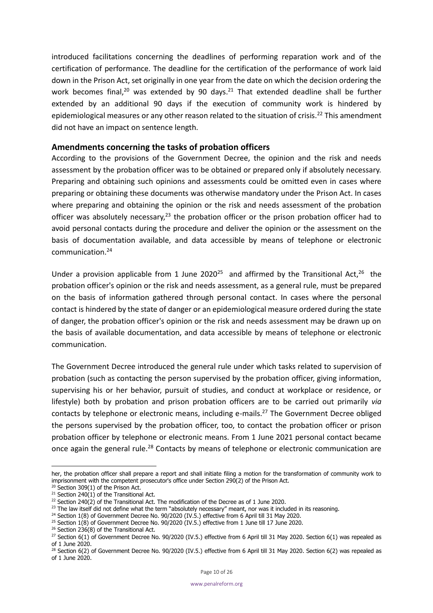introduced facilitations concerning the deadlines of performing reparation work and of the certification of performance. The deadline for the certification of the performance of work laid down in the Prison Act, set originally in one year from the date on which the decision ordering the work becomes final,<sup>20</sup> was extended by 90 days.<sup>21</sup> That extended deadline shall be further extended by an additional 90 days if the execution of community work is hindered by epidemiological measures or any other reason related to the situation of crisis.<sup>22</sup> This amendment did not have an impact on sentence length.

### <span id="page-9-0"></span>**Amendments concerning the tasks of probation officers**

According to the provisions of the Government Decree, the opinion and the risk and needs assessment by the probation officer was to be obtained or prepared only if absolutely necessary. Preparing and obtaining such opinions and assessments could be omitted even in cases where preparing or obtaining these documents was otherwise mandatory under the Prison Act. In cases where preparing and obtaining the opinion or the risk and needs assessment of the probation officer was absolutely necessary,<sup>23</sup> the probation officer or the prison probation officer had to avoid personal contacts during the procedure and deliver the opinion or the assessment on the basis of documentation available, and data accessible by means of telephone or electronic communication.<sup>24</sup>

Under a provision applicable from 1 June 2020<sup>25</sup> and affirmed by the Transitional Act,<sup>26</sup> the probation officer's opinion or the risk and needs assessment, as a general rule, must be prepared on the basis of information gathered through personal contact. In cases where the personal contact is hindered by the state of danger or an epidemiological measure ordered during the state of danger, the probation officer's opinion or the risk and needs assessment may be drawn up on the basis of available documentation, and data accessible by means of telephone or electronic communication.

The Government Decree introduced the general rule under which tasks related to supervision of probation (such as contacting the person supervised by the probation officer, giving information, supervising his or her behavior, pursuit of studies, and conduct at workplace or residence, or lifestyle) both by probation and prison probation officers are to be carried out primarily *via* contacts by telephone or electronic means, including e-mails.<sup>27</sup> The Government Decree obliged the persons supervised by the probation officer, too, to contact the probation officer or prison probation officer by telephone or electronic means. From 1 June 2021 personal contact became once again the general rule.<sup>28</sup> Contacts by means of telephone or electronic communication are

her, the probation officer shall prepare a report and shall initiate filing a motion for the transformation of community work to imprisonment with the competent prosecutor's office under Section 290(2) of the Prison Act.

 $20$  Section 309(1) of the Prison Act.

<sup>&</sup>lt;sup>21</sup> Section 240(1) of the Transitional Act.

<sup>&</sup>lt;sup>22</sup> Section 240 $(2)$  of the Transitional Act. The modification of the Decree as of 1 June 2020.

 $23$  The law itself did not define what the term "absolutely necessary" meant, nor was it included in its reasoning.

<sup>&</sup>lt;sup>24</sup> Section 1(8) of Government Decree No. 90/2020 (IV.5.) effective from 6 April till 31 May 2020.

<sup>&</sup>lt;sup>25</sup> Section 1(8) of Government Decree No. 90/2020 (IV.5.) effective from 1 June till 17 June 2020.

 $26$  Section 236(8) of the Transitional Act.

 $^{27}$  Section 6(1) of Government Decree No. 90/2020 (IV.5.) effective from 6 April till 31 May 2020. Section 6(1) was repealed as of 1 June 2020.

<sup>&</sup>lt;sup>28</sup> Section 6(2) of Government Decree No. 90/2020 (IV.5.) effective from 6 April till 31 May 2020. Section 6(2) was repealed as of 1 June 2020.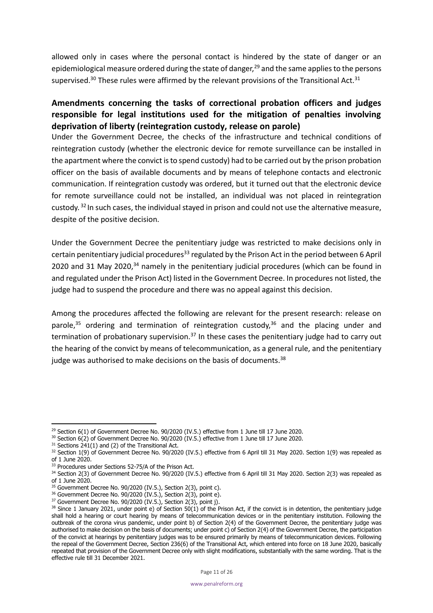allowed only in cases where the personal contact is hindered by the state of danger or an epidemiological measure ordered during the state of danger,<sup>29</sup> and the same applies to the persons supervised.<sup>30</sup> These rules were affirmed by the relevant provisions of the Transitional Act.<sup>31</sup>

# <span id="page-10-0"></span>**Amendments concerning the tasks of correctional probation officers and judges responsible for legal institutions used for the mitigation of penalties involving deprivation of liberty (reintegration custody, release on parole)**

Under the Government Decree, the checks of the infrastructure and technical conditions of reintegration custody (whether the electronic device for remote surveillance can be installed in the apartment where the convict is to spend custody) had to be carried out by the prison probation officer on the basis of available documents and by means of telephone contacts and electronic communication. If reintegration custody was ordered, but it turned out that the electronic device for remote surveillance could not be installed, an individual was not placed in reintegration custody. <sup>32</sup> In such cases, the individual stayed in prison and could not use the alternative measure, despite of the positive decision.

Under the Government Decree the penitentiary judge was restricted to make decisions only in certain penitentiary judicial procedures<sup>33</sup> regulated by the Prison Act in the period between 6 April 2020 and 31 May 2020, $34$  namely in the penitentiary judicial procedures (which can be found in and regulated under the Prison Act) listed in the Government Decree. In procedures not listed, the judge had to suspend the procedure and there was no appeal against this decision.

Among the procedures affected the following are relevant for the present research: release on parole,<sup>35</sup> ordering and termination of reintegration custody,<sup>36</sup> and the placing under and termination of probationary supervision.<sup>37</sup> In these cases the penitentiary judge had to carry out the hearing of the convict by means of telecommunication, as a general rule, and the penitentiary judge was authorised to make decisions on the basis of documents.<sup>38</sup>

<sup>&</sup>lt;sup>29</sup> Section 6(1) of Government Decree No. 90/2020 (IV.5.) effective from 1 June till 17 June 2020.

<sup>&</sup>lt;sup>30</sup> Section 6(2) of Government Decree No. 90/2020 (IV.5.) effective from 1 June till 17 June 2020.

 $31$  Sections 241(1) and (2) of the Transitional Act.

<sup>32</sup> Section 1(9) of Government Decree No. 90/2020 (IV.5.) effective from 6 April till 31 May 2020. Section 1(9) was repealed as of 1 June 2020.

<sup>33</sup> Procedures under Sections 52-75/A of the Prison Act.

<sup>34</sup> Section 2(3) of Government Decree No. 90/2020 (IV.5.) effective from 6 April till 31 May 2020. Section 2(3) was repealed as of 1 June 2020.

 $35$  Government Decree No. 90/2020 (IV.5.), Section 2(3), point c).

 $36$  Government Decree No. 90/2020 (IV.5.), Section 2(3), point e).

<sup>&</sup>lt;sup>37</sup> Government Decree No. 90/2020 (IV.5.), Section 2(3), point j).

 $38$  Since 1 January 2021, under point e) of Section 50(1) of the Prison Act, if the convict is in detention, the penitentiary judge shall hold a hearing or court hearing by means of telecommunication devices or in the penitentiary institution. Following the outbreak of the corona virus pandemic, under point b) of Section 2(4) of the Government Decree, the penitentiary judge was authorised to make decision on the basis of documents; under point c) of Section 2(4) of the Government Decree, the participation of the convict at hearings by penitentiary judges was to be ensured primarily by means of telecommunication devices. Following the repeal of the Government Decree, Section 236(6) of the Transitional Act, which entered into force on 18 June 2020, basically repeated that provision of the Government Decree only with slight modifications, substantially with the same wording. That is the effective rule till 31 December 2021.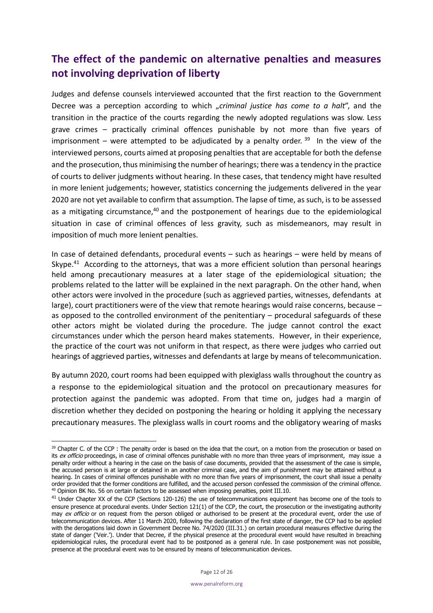# <span id="page-11-0"></span>**The effect of the pandemic on alternative penalties and measures not involving deprivation of liberty**

Judges and defense counsels interviewed accounted that the first reaction to the Government Decree was a perception according to which "criminal justice has come to a halt", and the transition in the practice of the courts regarding the newly adopted regulations was slow. Less grave crimes – practically criminal offences punishable by not more than five years of imprisonment – were attempted to be adjudicated by a penalty order.  $39$  In the view of the interviewed persons, courts aimed at proposing penalties that are acceptable for both the defense and the prosecution, thus minimising the number of hearings; there was a tendency in the practice of courts to deliver judgments without hearing. In these cases, that tendency might have resulted in more lenient judgements; however, statistics concerning the judgements delivered in the year 2020 are not yet available to confirm that assumption. The lapse of time, as such, is to be assessed as a mitigating circumstance,<sup>40</sup> and the postponement of hearings due to the epidemiological situation in case of criminal offences of less gravity, such as misdemeanors, may result in imposition of much more lenient penalties.

In case of detained defendants, procedural events – such as hearings – were held by means of Skype. $41$  According to the attorneys, that was a more efficient solution than personal hearings held among precautionary measures at a later stage of the epidemiological situation; the problems related to the latter will be explained in the next paragraph. On the other hand, when other actors were involved in the procedure (such as aggrieved parties, witnesses, defendants at large), court practitioners were of the view that remote hearings would raise concerns, because – as opposed to the controlled environment of the penitentiary – procedural safeguards of these other actors might be violated during the procedure. The judge cannot control the exact circumstances under which the person heard makes statements. However, in their experience, the practice of the court was not uniform in that respect, as there were judges who carried out hearings of aggrieved parties, witnesses and defendants at large by means of telecommunication.

By autumn 2020, court rooms had been equipped with plexiglass walls throughout the country as a response to the epidemiological situation and the protocol on precautionary measures for protection against the pandemic was adopted. From that time on, judges had a margin of discretion whether they decided on postponing the hearing or holding it applying the necessary precautionary measures. The plexiglass walls in court rooms and the obligatory wearing of masks

<sup>&</sup>lt;sup>39</sup> Chapter C. of the CCP : The penalty order is based on the idea that the court, on a motion from the prosecution or based on its ex officio proceedings, in case of criminal offences punishable with no more than three years of imprisonment, may issue a penalty order without a hearing in the case on the basis of case documents, provided that the assessment of the case is simple, the accused person is at large or detained in an another criminal case, and the aim of punishment may be attained without a hearing. In cases of criminal offences punishable with no more than five years of imprisonment, the court shall issue a penalty order provided that the former conditions are fulfilled, and the accused person confessed the commission of the criminal offence. <sup>40</sup> Opinion BK No. 56 on certain factors to be assessed when imposing penalties, point III.10.

<sup>&</sup>lt;sup>41</sup> Under Chapter XX of the CCP (Sections 120-126) the use of telecommunications equipment has become one of the tools to ensure presence at procedural events. Under Section 121(1) of the CCP, the court, the prosecution or the investigating authority may ex officio or on request from the person obliged or authorised to be present at the procedural event, order the use of telecommunication devices. After 11 March 2020, following the declaration of the first state of danger, the CCP had to be applied with the derogations laid down in Government Decree No. 74/2020 (III.31.) on certain procedural measures effective during the state of danger ('Veir.'). Under that Decree, if the physical presence at the procedural event would have resulted in breaching epidemiological rules, the procedural event had to be postponed as a general rule. In case postponement was not possible, presence at the procedural event was to be ensured by means of telecommunication devices.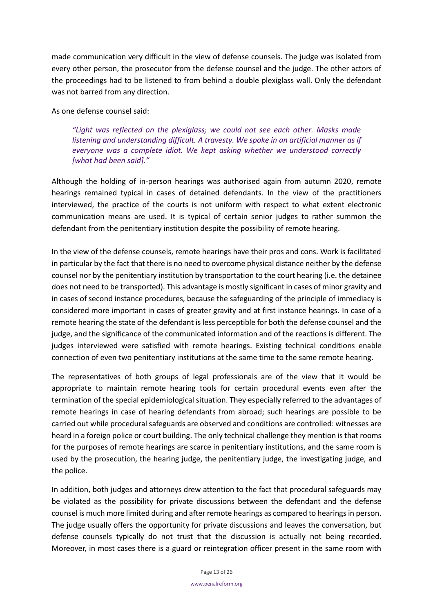made communication very difficult in the view of defense counsels. The judge was isolated from every other person, the prosecutor from the defense counsel and the judge. The other actors of the proceedings had to be listened to from behind a double plexiglass wall. Only the defendant was not barred from any direction.

As one defense counsel said:

*"Light was reflected on the plexiglass; we could not see each other. Masks made listening and understanding difficult. A travesty. We spoke in an artificial manner as if everyone was a complete idiot. We kept asking whether we understood correctly [what had been said]."*

Although the holding of in-person hearings was authorised again from autumn 2020, remote hearings remained typical in cases of detained defendants. In the view of the practitioners interviewed, the practice of the courts is not uniform with respect to what extent electronic communication means are used. It is typical of certain senior judges to rather summon the defendant from the penitentiary institution despite the possibility of remote hearing.

In the view of the defense counsels, remote hearings have their pros and cons. Work is facilitated in particular by the fact that there is no need to overcome physical distance neither by the defense counsel nor by the penitentiary institution by transportation to the court hearing (i.e. the detainee does not need to be transported). This advantage is mostly significant in cases of minor gravity and in cases of second instance procedures, because the safeguarding of the principle of immediacy is considered more important in cases of greater gravity and at first instance hearings. In case of a remote hearing the state of the defendant is less perceptible for both the defense counsel and the judge, and the significance of the communicated information and of the reactions is different. The judges interviewed were satisfied with remote hearings. Existing technical conditions enable connection of even two penitentiary institutions at the same time to the same remote hearing.

The representatives of both groups of legal professionals are of the view that it would be appropriate to maintain remote hearing tools for certain procedural events even after the termination of the special epidemiological situation. They especially referred to the advantages of remote hearings in case of hearing defendants from abroad; such hearings are possible to be carried out while procedural safeguards are observed and conditions are controlled: witnesses are heard in a foreign police or court building. The only technical challenge they mention is that rooms for the purposes of remote hearings are scarce in penitentiary institutions, and the same room is used by the prosecution, the hearing judge, the penitentiary judge, the investigating judge, and the police.

In addition, both judges and attorneys drew attention to the fact that procedural safeguards may be violated as the possibility for private discussions between the defendant and the defense counsel is much more limited during and after remote hearings as compared to hearings in person. The judge usually offers the opportunity for private discussions and leaves the conversation, but defense counsels typically do not trust that the discussion is actually not being recorded. Moreover, in most cases there is a guard or reintegration officer present in the same room with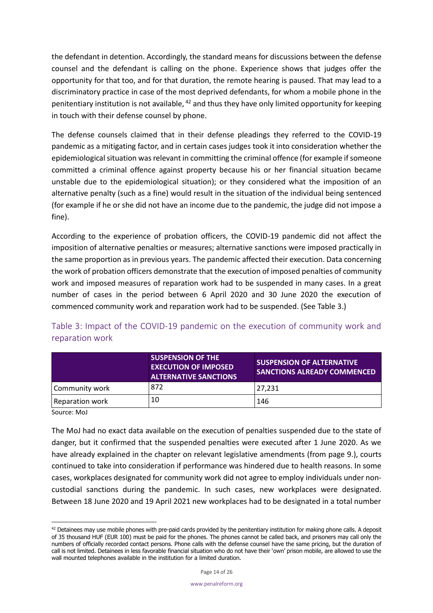the defendant in detention. Accordingly, the standard means for discussions between the defense counsel and the defendant is calling on the phone. Experience shows that judges offer the opportunity for that too, and for that duration, the remote hearing is paused. That may lead to a discriminatory practice in case of the most deprived defendants, for whom a mobile phone in the penitentiary institution is not available,  $42$  and thus they have only limited opportunity for keeping in touch with their defense counsel by phone.

The defense counsels claimed that in their defense pleadings they referred to the COVID-19 pandemic as a mitigating factor, and in certain cases judges took it into consideration whether the epidemiological situation was relevant in committing the criminal offence (for example if someone committed a criminal offence against property because his or her financial situation became unstable due to the epidemiological situation); or they considered what the imposition of an alternative penalty (such as a fine) would result in the situation of the individual being sentenced (for example if he or she did not have an income due to the pandemic, the judge did not impose a fine).

According to the experience of probation officers, the COVID-19 pandemic did not affect the imposition of alternative penalties or measures; alternative sanctions were imposed practically in the same proportion as in previous years. The pandemic affected their execution. Data concerning the work of probation officers demonstrate that the execution of imposed penalties of community work and imposed measures of reparation work had to be suspended in many cases. In a great number of cases in the period between 6 April 2020 and 30 June 2020 the execution of commenced community work and reparation work had to be suspended. (See Table 3.)

<span id="page-13-0"></span>Table 3: Impact of the COVID-19 pandemic on the execution of community work and reparation work

|                 | <b>SUSPENSION OF THE</b><br><b>EXECUTION OF IMPOSED</b><br><b>ALTERNATIVE SANCTIONS</b> | <b>SUSPENSION OF ALTERNATIVE</b><br><b>SANCTIONS ALREADY COMMENCED</b> |  |
|-----------------|-----------------------------------------------------------------------------------------|------------------------------------------------------------------------|--|
| Community work  | 872                                                                                     | 27.231                                                                 |  |
| Reparation work | 10                                                                                      | 146                                                                    |  |

Source: MoJ

The MoJ had no exact data available on the execution of penalties suspended due to the state of danger, but it confirmed that the suspended penalties were executed after 1 June 2020. As we have already explained in the chapter on relevant legislative amendments (from page 9.), courts continued to take into consideration if performance was hindered due to health reasons. In some cases, workplaces designated for community work did not agree to employ individuals under noncustodial sanctions during the pandemic. In such cases, new workplaces were designated. Between 18 June 2020 and 19 April 2021 new workplaces had to be designated in a total number

 $42$  Detainees may use mobile phones with pre-paid cards provided by the penitentiary institution for making phone calls. A deposit of 35 thousand HUF (EUR 100) must be paid for the phones. The phones cannot be called back, and prisoners may call only the numbers of officially recorded contact persons. Phone calls with the defense counsel have the same pricing, but the duration of call is not limited. Detainees in less favorable financial situation who do not have their 'own' prison mobile, are allowed to use the wall mounted telephones available in the institution for a limited duration.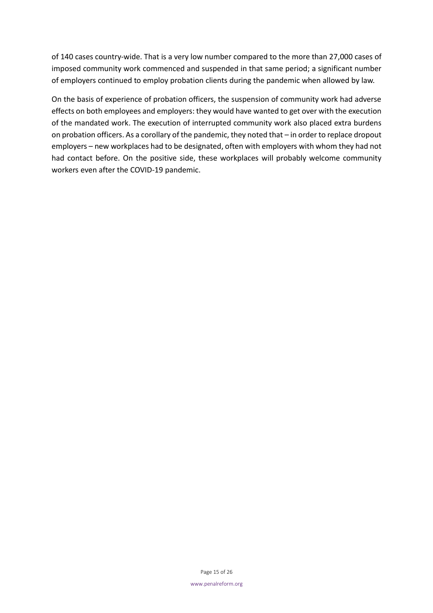of 140 cases country-wide. That is a very low number compared to the more than 27,000 cases of imposed community work commenced and suspended in that same period; a significant number of employers continued to employ probation clients during the pandemic when allowed by law.

On the basis of experience of probation officers, the suspension of community work had adverse effects on both employees and employers: they would have wanted to get over with the execution of the mandated work. The execution of interrupted community work also placed extra burdens on probation officers. As a corollary of the pandemic, they noted that – in order to replace dropout employers – new workplaces had to be designated, often with employers with whom they had not had contact before. On the positive side, these workplaces will probably welcome community workers even after the COVID-19 pandemic.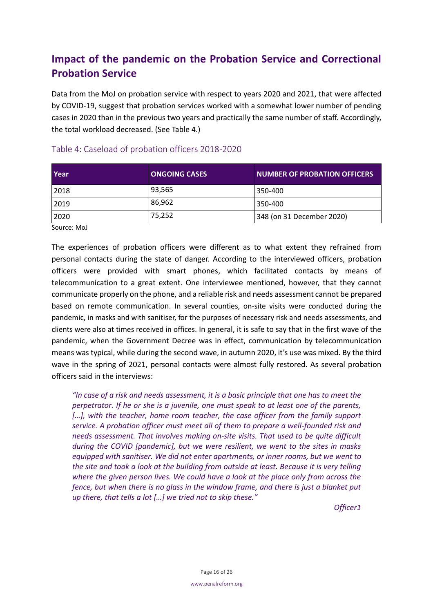# <span id="page-15-0"></span>**Impact of the pandemic on the Probation Service and Correctional Probation Service**

Data from the MoJ on probation service with respect to years 2020 and 2021, that were affected by COVID-19, suggest that probation services worked with a somewhat lower number of pending cases in 2020 than in the previous two years and practically the same number of staff. Accordingly, the total workload decreased. (See Table 4.)

| Year | <b>ONGOING CASES</b> | <b>NUMBER OF PROBATION OFFICERS</b> |
|------|----------------------|-------------------------------------|
| 2018 | 93,565               | 350-400                             |
| 2019 | 86,962               | 350-400                             |
| 2020 | 75,252               | 348 (on 31 December 2020)           |

## <span id="page-15-1"></span>Table 4: Caseload of probation officers 2018-2020

Source: MoJ

The experiences of probation officers were different as to what extent they refrained from personal contacts during the state of danger. According to the interviewed officers, probation officers were provided with smart phones, which facilitated contacts by means of telecommunication to a great extent. One interviewee mentioned, however, that they cannot communicate properly on the phone, and a reliable risk and needs assessment cannot be prepared based on remote communication. In several counties, on-site visits were conducted during the pandemic, in masks and with sanitiser, for the purposes of necessary risk and needs assessments, and clients were also at times received in offices. In general, it is safe to say that in the first wave of the pandemic, when the Government Decree was in effect, communication by telecommunication means was typical, while during the second wave, in autumn 2020, it's use was mixed. By the third wave in the spring of 2021, personal contacts were almost fully restored. As several probation officers said in the interviews:

*"In case of a risk and needs assessment, it is a basic principle that one has to meet the perpetrator. If he or she is a juvenile, one must speak to at least one of the parents,*  [...], with the teacher, home room teacher, the case officer from the family support *service. A probation officer must meet all of them to prepare a well-founded risk and needs assessment. That involves making on-site visits. That used to be quite difficult during the COVID [pandemic], but we were resilient, we went to the sites in masks equipped with sanitiser. We did not enter apartments, or inner rooms, but we went to the site and took a look at the building from outside at least. Because it is very telling where the given person lives. We could have a look at the place only from across the fence, but when there is no glass in the window frame, and there is just a blanket put up there, that tells a lot […] we tried not to skip these."* 

*Officer1*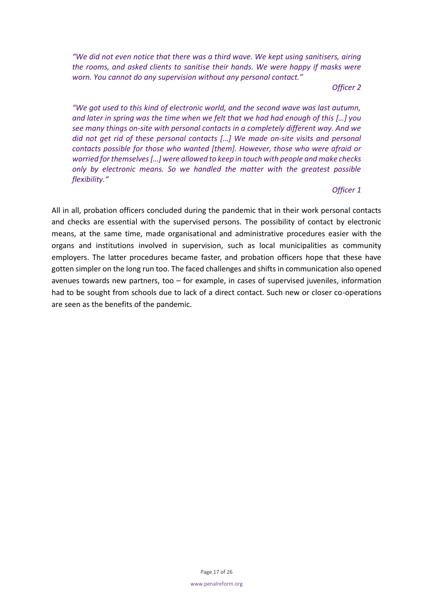*"We did not even notice that there was a third wave. We kept using sanitisers, airing the rooms, and asked clients to sanitise their hands. We were happy if masks were worn. You cannot do any supervision without any personal contact."* 

*Officer 2*

*"We got used to this kind of electronic world, and the second wave was last autumn, and later in spring was the time when we felt that we had had enough of this […] you see many things on-site with personal contacts in a completely different way. And we did not get rid of these personal contacts […] We made on-site visits and personal contacts possible for those who wanted [them]. However, those who were afraid or worried for themselves […] were allowed to keep in touch with people and make checks only by electronic means. So we handled the matter with the greatest possible flexibility."*

*Officer 1*

All in all, probation officers concluded during the pandemic that in their work personal contacts and checks are essential with the supervised persons. The possibility of contact by electronic means, at the same time, made organisational and administrative procedures easier with the organs and institutions involved in supervision, such as local municipalities as community employers. The latter procedures became faster, and probation officers hope that these have gotten simpler on the long run too. The faced challenges and shifts in communication also opened avenues towards new partners, too – for example, in cases of supervised juveniles, information had to be sought from schools due to lack of a direct contact. Such new or closer co-operations are seen as the benefits of the pandemic.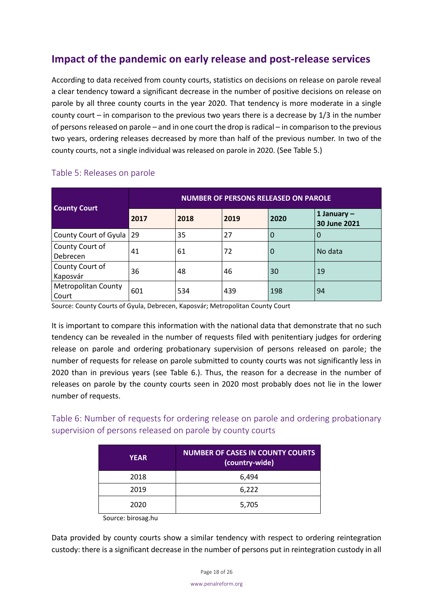# <span id="page-17-0"></span>**Impact of the pandemic on early release and post-release services**

According to data received from county courts, statistics on decisions on release on parole reveal a clear tendency toward a significant decrease in the number of positive decisions on release on parole by all three county courts in the year 2020. That tendency is more moderate in a single county court – in comparison to the previous two years there is a decrease by 1/3 in the number of persons released on parole – and in one court the drop is radical – in comparison to the previous two years, ordering releases decreased by more than half of the previous number. In two of the county courts, not a single individual was released on parole in 2020. (See Table 5.)

| <b>County Court</b>                 | <b>NUMBER OF PERSONS RELEASED ON PAROLE</b> |      |      |      |                               |
|-------------------------------------|---------------------------------------------|------|------|------|-------------------------------|
|                                     | 2017                                        | 2018 | 2019 | 2020 | 1 January $-$<br>30 June 2021 |
| County Court of Gyula   29          |                                             | 35   | 27   | 0    | 0                             |
| County Court of<br>Debrecen         | 41                                          | 61   | 72   | 0    | No data                       |
| County Court of<br>Kaposvár         | 36                                          | 48   | 46   | 30   | 19                            |
| <b>Metropolitan County</b><br>Court | 601                                         | 534  | 439  | 198  | 94                            |

## <span id="page-17-1"></span>Table 5: Releases on parole

Source: County Courts of Gyula, Debrecen, Kaposvár; Metropolitan County Court

It is important to compare this information with the national data that demonstrate that no such tendency can be revealed in the number of requests filed with penitentiary judges for ordering release on parole and ordering probationary supervision of persons released on parole; the number of requests for release on parole submitted to county courts was not significantly less in 2020 than in previous years (see Table 6.). Thus, the reason for a decrease in the number of releases on parole by the county courts seen in 2020 most probably does not lie in the lower number of requests.

<span id="page-17-2"></span>Table 6: Number of requests for ordering release on parole and ordering probationary supervision of persons released on parole by county courts

| <b>YEAR</b> | <b>NUMBER OF CASES IN COUNTY COURTS</b><br>(country-wide) |
|-------------|-----------------------------------------------------------|
| 2018        | 6,494                                                     |
| 2019        | 6,222                                                     |
| 2020        | 5,705                                                     |

Source: birosag.hu

Data provided by county courts show a similar tendency with respect to ordering reintegration custody: there is a significant decrease in the number of persons put in reintegration custody in all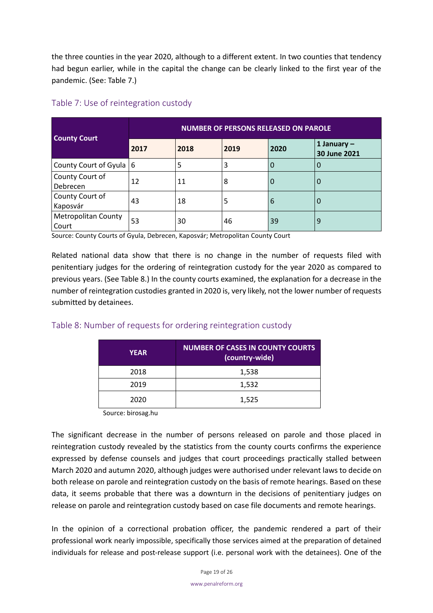the three counties in the year 2020, although to a different extent. In two counties that tendency had begun earlier, while in the capital the change can be clearly linked to the first year of the pandemic. (See: Table 7.)

| <b>County Court</b>                 | <b>NUMBER OF PERSONS RELEASED ON PAROLE</b> |      |      |      |                               |
|-------------------------------------|---------------------------------------------|------|------|------|-------------------------------|
|                                     | 2017                                        | 2018 | 2019 | 2020 | 1 January $-$<br>30 June 2021 |
| County Court of Gyula   6           |                                             | 5    | 3    | 0    | 0                             |
| County Court of<br>Debrecen         | 12                                          | 11   | 8    | O    | 0                             |
| County Court of<br>Kaposvár         | 43                                          | 18   | 5    | 6    | 0                             |
| <b>Metropolitan County</b><br>Court | 53                                          | 30   | 46   | 39   | 9                             |

## <span id="page-18-0"></span>Table 7: Use of reintegration custody

Source: County Courts of Gyula, Debrecen, Kaposvár; Metropolitan County Court

Related national data show that there is no change in the number of requests filed with penitentiary judges for the ordering of reintegration custody for the year 2020 as compared to previous years. (See Table 8.) In the county courts examined, the explanation for a decrease in the number of reintegration custodies granted in 2020 is, very likely, not the lower number of requests submitted by detainees.

## <span id="page-18-1"></span>Table 8: Number of requests for ordering reintegration custody

| <b>YEAR</b> | <b>NUMBER OF CASES IN COUNTY COURTS</b><br>(country-wide) |
|-------------|-----------------------------------------------------------|
| 2018        | 1,538                                                     |
| 2019        | 1,532                                                     |
| 2020        | 1,525                                                     |

Source: birosag.hu

The significant decrease in the number of persons released on parole and those placed in reintegration custody revealed by the statistics from the county courts confirms the experience expressed by defense counsels and judges that court proceedings practically stalled between March 2020 and autumn 2020, although judges were authorised under relevant laws to decide on both release on parole and reintegration custody on the basis of remote hearings. Based on these data, it seems probable that there was a downturn in the decisions of penitentiary judges on release on parole and reintegration custody based on case file documents and remote hearings.

In the opinion of a correctional probation officer, the pandemic rendered a part of their professional work nearly impossible, specifically those services aimed at the preparation of detained individuals for release and post-release support (i.e. personal work with the detainees). One of the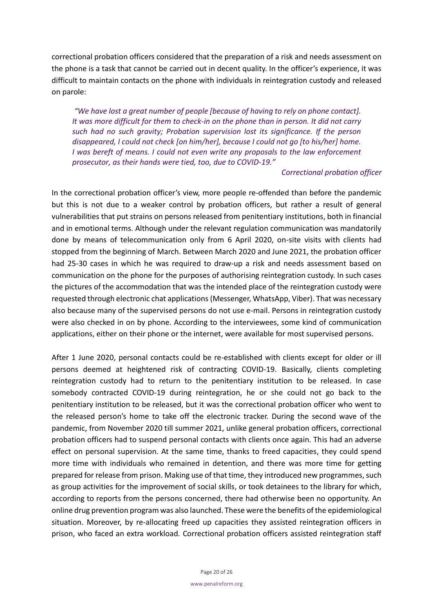correctional probation officers considered that the preparation of a risk and needs assessment on the phone is a task that cannot be carried out in decent quality. In the officer's experience, it was difficult to maintain contacts on the phone with individuals in reintegration custody and released on parole:

*"We have lost a great number of people [because of having to rely on phone contact]. It was more difficult for them to check-in on the phone than in person. It did not carry such had no such gravity; Probation supervision lost its significance. If the person disappeared, I could not check [on him/her], because I could not go [to his/her] home. I* was bereft of means. *I* could not even write any proposals to the law enforcement *prosecutor, as their hands were tied, too, due to COVID-19."*

#### *Correctional probation officer*

In the correctional probation officer's view, more people re-offended than before the pandemic but this is not due to a weaker control by probation officers, but rather a result of general vulnerabilities that put strains on persons released from penitentiary institutions, both in financial and in emotional terms. Although under the relevant regulation communication was mandatorily done by means of telecommunication only from 6 April 2020, on-site visits with clients had stopped from the beginning of March. Between March 2020 and June 2021, the probation officer had 25-30 cases in which he was required to draw-up a risk and needs assessment based on communication on the phone for the purposes of authorising reintegration custody. In such cases the pictures of the accommodation that was the intended place of the reintegration custody were requested through electronic chat applications (Messenger, WhatsApp, Viber). That was necessary also because many of the supervised persons do not use e-mail. Persons in reintegration custody were also checked in on by phone. According to the interviewees, some kind of communication applications, either on their phone or the internet, were available for most supervised persons.

After 1 June 2020, personal contacts could be re-established with clients except for older or ill persons deemed at heightened risk of contracting COVID-19. Basically, clients completing reintegration custody had to return to the penitentiary institution to be released. In case somebody contracted COVID-19 during reintegration, he or she could not go back to the penitentiary institution to be released, but it was the correctional probation officer who went to the released person's home to take off the electronic tracker. During the second wave of the pandemic, from November 2020 till summer 2021, unlike general probation officers, correctional probation officers had to suspend personal contacts with clients once again. This had an adverse effect on personal supervision. At the same time, thanks to freed capacities, they could spend more time with individuals who remained in detention, and there was more time for getting prepared for release from prison. Making use of that time, they introduced new programmes, such as group activities for the improvement of social skills, or took detainees to the library for which, according to reports from the persons concerned, there had otherwise been no opportunity. An online drug prevention program was also launched. These were the benefits of the epidemiological situation. Moreover, by re-allocating freed up capacities they assisted reintegration officers in prison, who faced an extra workload. Correctional probation officers assisted reintegration staff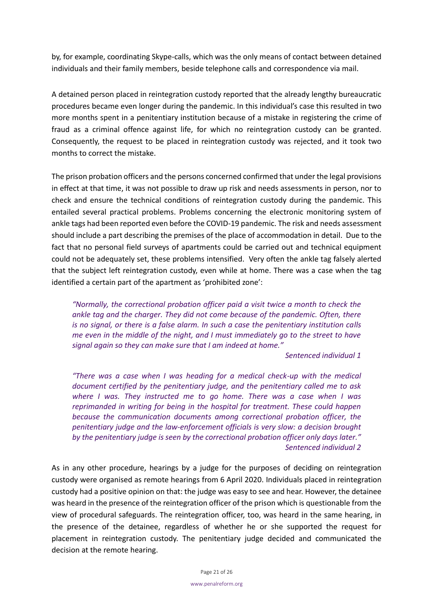by, for example, coordinating Skype-calls, which was the only means of contact between detained individuals and their family members, beside telephone calls and correspondence via mail.

A detained person placed in reintegration custody reported that the already lengthy bureaucratic procedures became even longer during the pandemic. In this individual's case this resulted in two more months spent in a penitentiary institution because of a mistake in registering the crime of fraud as a criminal offence against life, for which no reintegration custody can be granted. Consequently, the request to be placed in reintegration custody was rejected, and it took two months to correct the mistake.

The prison probation officers and the persons concerned confirmed that under the legal provisions in effect at that time, it was not possible to draw up risk and needs assessments in person, nor to check and ensure the technical conditions of reintegration custody during the pandemic. This entailed several practical problems. Problems concerning the electronic monitoring system of ankle tags had been reported even before the COVID-19 pandemic. The risk and needs assessment should include a part describing the premises of the place of accommodation in detail. Due to the fact that no personal field surveys of apartments could be carried out and technical equipment could not be adequately set, these problems intensified. Very often the ankle tag falsely alerted that the subject left reintegration custody, even while at home. There was a case when the tag identified a certain part of the apartment as 'prohibited zone':

*"Normally, the correctional probation officer paid a visit twice a month to check the ankle tag and the charger. They did not come because of the pandemic. Often, there is no signal, or there is a false alarm. In such a case the penitentiary institution calls me even in the middle of the night, and I must immediately go to the street to have signal again so they can make sure that I am indeed at home."* 

*Sentenced individual 1*

*"There was a case when I was heading for a medical check-up with the medical document certified by the penitentiary judge, and the penitentiary called me to ask where I was. They instructed me to go home. There was a case when I was reprimanded in writing for being in the hospital for treatment. These could happen because the communication documents among correctional probation officer, the penitentiary judge and the law-enforcement officials is very slow: a decision brought by the penitentiary judge is seen by the correctional probation officer only days later." Sentenced individual 2*

As in any other procedure, hearings by a judge for the purposes of deciding on reintegration custody were organised as remote hearings from 6 April 2020. Individuals placed in reintegration custody had a positive opinion on that: the judge was easy to see and hear. However, the detainee was heard in the presence of the reintegration officer of the prison which is questionable from the view of procedural safeguards. The reintegration officer, too, was heard in the same hearing, in the presence of the detainee, regardless of whether he or she supported the request for placement in reintegration custody. The penitentiary judge decided and communicated the decision at the remote hearing.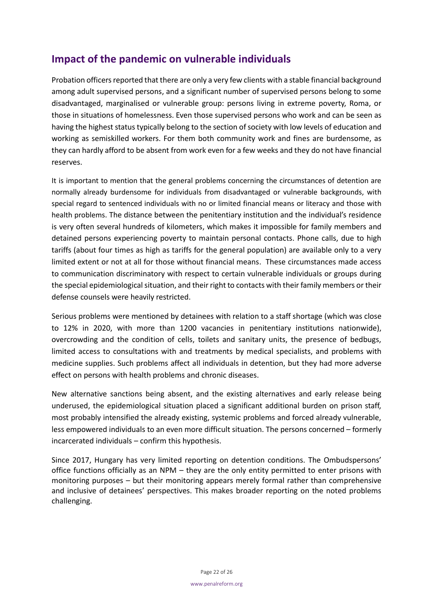# <span id="page-21-0"></span>**Impact of the pandemic on vulnerable individuals**

Probation officers reported that there are only a very few clients with a stable financial background among adult supervised persons, and a significant number of supervised persons belong to some disadvantaged, marginalised or vulnerable group: persons living in extreme poverty, Roma, or those in situations of homelessness. Even those supervised persons who work and can be seen as having the highest status typically belong to the section of society with low levels of education and working as semiskilled workers. For them both community work and fines are burdensome, as they can hardly afford to be absent from work even for a few weeks and they do not have financial reserves.

It is important to mention that the general problems concerning the circumstances of detention are normally already burdensome for individuals from disadvantaged or vulnerable backgrounds, with special regard to sentenced individuals with no or limited financial means or literacy and those with health problems. The distance between the penitentiary institution and the individual's residence is very often several hundreds of kilometers, which makes it impossible for family members and detained persons experiencing poverty to maintain personal contacts. Phone calls, due to high tariffs (about four times as high as tariffs for the general population) are available only to a very limited extent or not at all for those without financial means. These circumstances made access to communication discriminatory with respect to certain vulnerable individuals or groups during the special epidemiological situation, and their right to contacts with their family members or their defense counsels were heavily restricted.

Serious problems were mentioned by detainees with relation to a staff shortage (which was close to 12% in 2020, with more than 1200 vacancies in penitentiary institutions nationwide), overcrowding and the condition of cells, toilets and sanitary units, the presence of bedbugs, limited access to consultations with and treatments by medical specialists, and problems with medicine supplies. Such problems affect all individuals in detention, but they had more adverse effect on persons with health problems and chronic diseases.

New alternative sanctions being absent, and the existing alternatives and early release being underused, the epidemiological situation placed a significant additional burden on prison staff, most probably intensified the already existing, systemic problems and forced already vulnerable, less empowered individuals to an even more difficult situation. The persons concerned – formerly incarcerated individuals – confirm this hypothesis.

Since 2017, Hungary has very limited reporting on detention conditions. The Ombudspersons' office functions officially as an NPM – they are the only entity permitted to enter prisons with monitoring purposes – but their monitoring appears merely formal rather than comprehensive and inclusive of detainees' perspectives. This makes broader reporting on the noted problems challenging.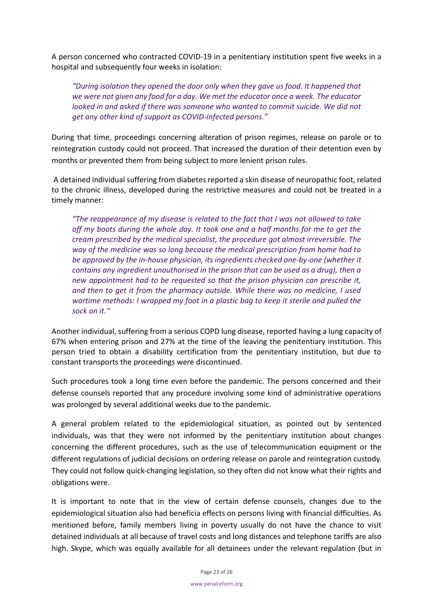A person concerned who contracted COVID-19 in a penitentiary institution spent five weeks in a hospital and subsequently four weeks in isolation:

*"During isolation they opened the door only when they gave us food. It happened that we were not given any food for a day. We met the educator once a week. The educator looked in and asked if there was someone who wanted to commit suicide. We did not get any other kind of support as COVID-infected persons."*

During that time, proceedings concerning alteration of prison regimes, release on parole or to reintegration custody could not proceed. That increased the duration of their detention even by months or prevented them from being subject to more lenient prison rules.

A detained individual suffering from diabetes reported a skin disease of neuropathic foot, related to the chronic illness, developed during the restrictive measures and could not be treated in a timely manner:

*"The reappearance of my disease is related to the fact that I was not allowed to take off my boots during the whole day. It took one and a half months for me to get the cream prescribed by the medical specialist, the procedure got almost irreversible. The way of the medicine was so long because the medical prescription from home had to be approved by the in-house physician, its ingredients checked one-by-one (whether it contains any ingredient unauthorised in the prison that can be used as a drug), then a new appointment had to be requested so that the prison physician can prescribe it, and then to get it from the pharmacy outside. While there was no medicine, I used wartime methods: I wrapped my foot in a plastic bag to keep it sterile and pulled the sock on it."*

Another individual, suffering from a serious COPD lung disease, reported having a lung capacity of 67% when entering prison and 27% at the time of the leaving the penitentiary institution. This person tried to obtain a disability certification from the penitentiary institution, but due to constant transports the proceedings were discontinued.

Such procedures took a long time even before the pandemic. The persons concerned and their defense counsels reported that any procedure involving some kind of administrative operations was prolonged by several additional weeks due to the pandemic.

A general problem related to the epidemiological situation, as pointed out by sentenced individuals, was that they were not informed by the penitentiary institution about changes concerning the different procedures, such as the use of telecommunication equipment or the different regulations of judicial decisions on ordering release on parole and reintegration custody. They could not follow quick-changing legislation, so they often did not know what their rights and obligations were.

It is important to note that in the view of certain defense counsels, changes due to the epidemiological situation also had beneficia effects on persons living with financial difficulties. As mentioned before, family members living in poverty usually do not have the chance to visit detained individuals at all because of travel costs and long distances and telephone tariffs are also high. Skype, which was equally available for all detainees under the relevant regulation (but in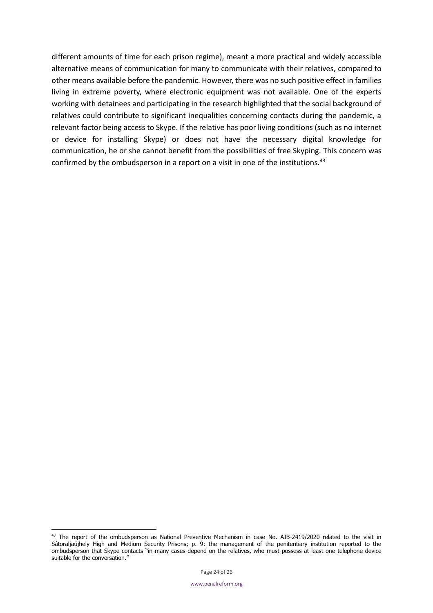different amounts of time for each prison regime), meant a more practical and widely accessible alternative means of communication for many to communicate with their relatives, compared to other means available before the pandemic. However, there was no such positive effect in families living in extreme poverty, where electronic equipment was not available. One of the experts working with detainees and participating in the research highlighted that the social background of relatives could contribute to significant inequalities concerning contacts during the pandemic, a relevant factor being access to Skype. If the relative has poor living conditions (such as no internet or device for installing Skype) or does not have the necessary digital knowledge for communication, he or she cannot benefit from the possibilities of free Skyping. This concern was confirmed by the ombudsperson in a report on a visit in one of the institutions.<sup>43</sup>

<sup>&</sup>lt;sup>43</sup> The report of the ombudsperson as National Preventive Mechanism in case No. AJB-2419/2020 related to the visit in Sátoraljaújhely High and Medium Security Prisons; p. 9: the management of the penitentiary institution reported to the ombudsperson that Skype contacts "in many cases depend on the relatives, who must possess at least one telephone device suitable for the conversation."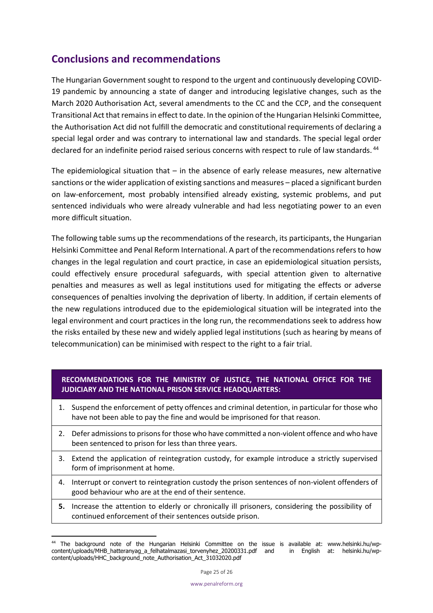# <span id="page-24-0"></span>**Conclusions and recommendations**

The Hungarian Government sought to respond to the urgent and continuously developing COVID-19 pandemic by announcing a state of danger and introducing legislative changes, such as the March 2020 Authorisation Act, several amendments to the CC and the CCP, and the consequent Transitional Act that remains in effect to date. In the opinion of the Hungarian Helsinki Committee, the Authorisation Act did not fulfill the democratic and constitutional requirements of declaring a special legal order and was contrary to international law and standards. The special legal order declared for an indefinite period raised serious concerns with respect to rule of law standards. <sup>44</sup>

The epidemiological situation that  $-$  in the absence of early release measures, new alternative sanctions or the wider application of existing sanctions and measures – placed a significant burden on law-enforcement, most probably intensified already existing, systemic problems, and put sentenced individuals who were already vulnerable and had less negotiating power to an even more difficult situation.

The following table sums up the recommendations of the research, its participants, the Hungarian Helsinki Committee and Penal Reform International. A part of the recommendations refers to how changes in the legal regulation and court practice, in case an epidemiological situation persists, could effectively ensure procedural safeguards, with special attention given to alternative penalties and measures as well as legal institutions used for mitigating the effects or adverse consequences of penalties involving the deprivation of liberty. In addition, if certain elements of the new regulations introduced due to the epidemiological situation will be integrated into the legal environment and court practices in the long run, the recommendations seek to address how the risks entailed by these new and widely applied legal institutions (such as hearing by means of telecommunication) can be minimised with respect to the right to a fair trial.

## **RECOMMENDATIONS FOR THE MINISTRY OF JUSTICE, THE NATIONAL OFFICE FOR THE JUDICIARY AND THE NATIONAL PRISON SERVICE HEADQUARTERS:**

- 1. Suspend the enforcement of petty offences and criminal detention, in particular for those who have not been able to pay the fine and would be imprisoned for that reason.
- 2. Defer admissions to prisons for those who have committed a non-violent offence and who have been sentenced to prison for less than three years.
- 3. Extend the application of reintegration custody, for example introduce a strictly supervised form of imprisonment at home.
- 4. Interrupt or convert to reintegration custody the prison sentences of non-violent offenders of good behaviour who are at the end of their sentence.
- **5.** Increase the attention to elderly or chronically ill prisoners, considering the possibility of continued enforcement of their sentences outside prison.

<sup>44</sup> The background note of the Hungarian Helsinki Committee on the issue is available at: ww[w.helsinki.hu/wp](https://helsinki.hu/wp-content/uploads/MHB_hatteranyag_a_felhatalmazasi_torvenyhez_20200331.pdf)[content/uploads/MHB\\_hatteranyag\\_a\\_felhatalmazasi\\_torvenyhez\\_20200331.pdf](https://helsinki.hu/wp-content/uploads/MHB_hatteranyag_a_felhatalmazasi_torvenyhez_20200331.pdf) and in English at: [helsinki.hu/wp](https://helsinki.hu/wp-content/uploads/HHC_background_note_Authorization_Act_31032020.pdf)[content/uploads/HHC\\_background\\_note\\_Authorisation\\_Act\\_31032020.pdf](https://helsinki.hu/wp-content/uploads/HHC_background_note_Authorization_Act_31032020.pdf)